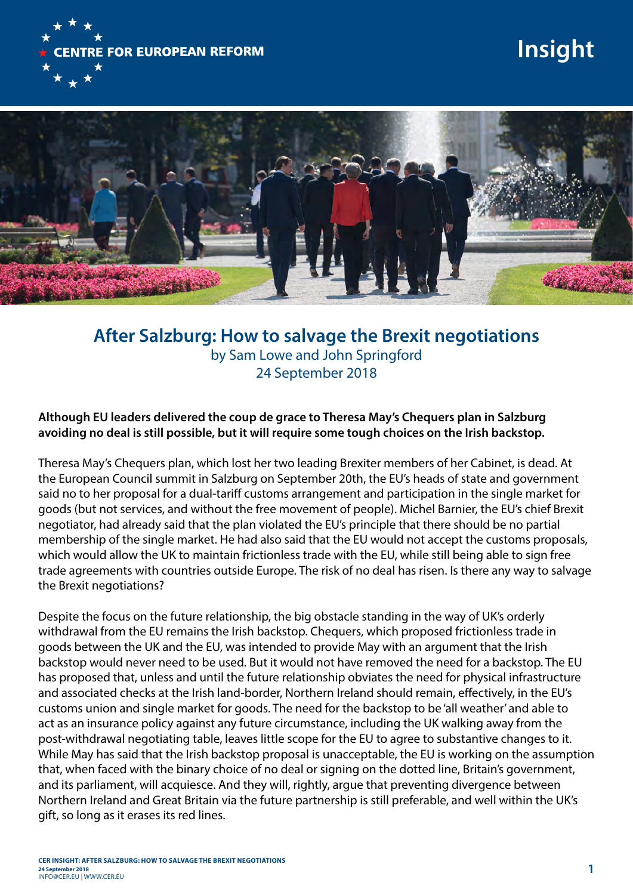

# **Insight**



# **After Salzburg: How to salvage the Brexit negotiations**  by Sam Lowe and John Springford 24 September 2018

## **Although EU leaders delivered the coup de grace to Theresa May's Chequers plan in Salzburg avoiding no deal is still possible, but it will require some tough choices on the Irish backstop.**

Theresa May's Chequers plan, which lost her two leading Brexiter members of her Cabinet, is dead. At the European Council summit in Salzburg on September 20th, the EU's heads of state and government said no to her proposal for a dual-tariff customs arrangement and participation in the single market for goods (but not services, and without the free movement of people). Michel Barnier, the EU's chief Brexit negotiator, had already said that the plan violated the EU's principle that there should be no partial membership of the single market. He had also said that the EU would not accept the customs proposals, which would allow the UK to maintain frictionless trade with the EU, while still being able to sign free trade agreements with countries outside Europe. The risk of no deal has risen. Is there any way to salvage the Brexit negotiations?

Despite the focus on the future relationship, the big obstacle standing in the way of UK's orderly withdrawal from the EU remains the Irish backstop. Chequers, which proposed frictionless trade in goods between the UK and the EU, was intended to provide May with an argument that the Irish backstop would never need to be used. But it would not have removed the need for a backstop. The EU has proposed that, unless and until the future relationship obviates the need for physical infrastructure and associated checks at the Irish land-border, Northern Ireland should remain, effectively, in the EU's customs union and single market for goods. The need for the backstop to be 'all weather' and able to act as an insurance policy against any future circumstance, including the UK walking away from the post-withdrawal negotiating table, leaves little scope for the EU to agree to substantive changes to it. While May has said that the Irish backstop proposal is unacceptable, the EU is working on the assumption that, when faced with the binary choice of no deal or signing on the dotted line, Britain's government, and its parliament, will acquiesce. And they will, rightly, argue that preventing divergence between Northern Ireland and Great Britain via the future partnership is still preferable, and well within the UK's gift, so long as it erases its red lines.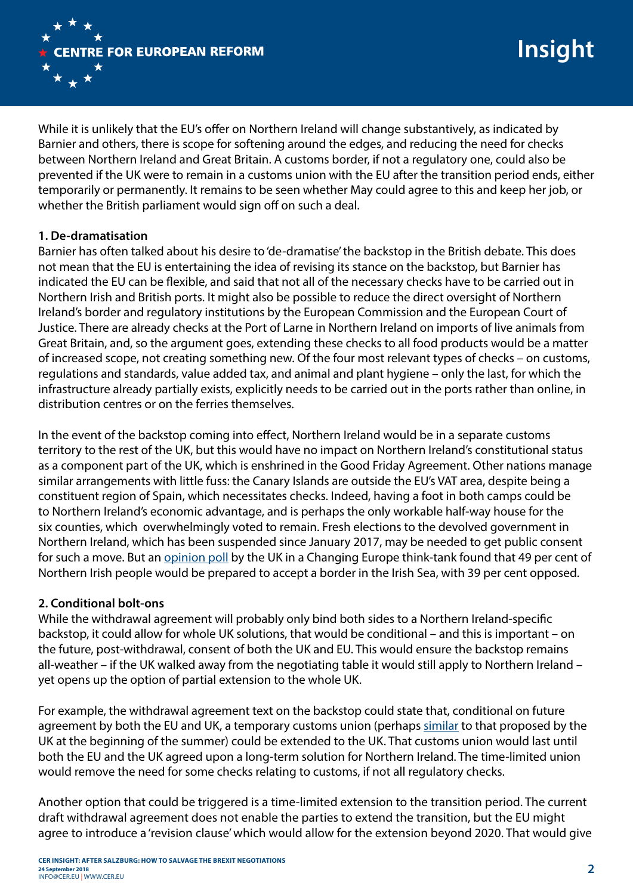

While it is unlikely that the EU's offer on Northern Ireland will change substantively, as indicated by Barnier and others, there is scope for softening around the edges, and reducing the need for checks between Northern Ireland and Great Britain. A customs border, if not a regulatory one, could also be prevented if the UK were to remain in a customs union with the EU after the transition period ends, either temporarily or permanently. It remains to be seen whether May could agree to this and keep her job, or whether the British parliament would sign off on such a deal.

## **1. De-dramatisation**

Barnier has often talked about his desire to 'de-dramatise' the backstop in the British debate. This does not mean that the EU is entertaining the idea of revising its stance on the backstop, but Barnier has indicated the EU can be flexible, and said that not all of the necessary checks have to be carried out in Northern Irish and British ports. It might also be possible to reduce the direct oversight of Northern Ireland's border and regulatory institutions by the European Commission and the European Court of Justice. There are already checks at the Port of Larne in Northern Ireland on imports of live animals from Great Britain, and, so the argument goes, extending these checks to all food products would be a matter of increased scope, not creating something new. Of the four most relevant types of checks – on customs, regulations and standards, value added tax, and animal and plant hygiene – only the last, for which the infrastructure already partially exists, explicitly needs to be carried out in the ports rather than online, in distribution centres or on the ferries themselves.

In the event of the backstop coming into effect, Northern Ireland would be in a separate customs territory to the rest of the UK, but this would have no impact on Northern Ireland's constitutional status as a component part of the UK, which is enshrined in the Good Friday Agreement. Other nations manage similar arrangements with little fuss: the Canary Islands are outside the EU's VAT area, despite being a constituent region of Spain, which necessitates checks. Indeed, having a foot in both camps could be to Northern Ireland's economic advantage, and is perhaps the only workable half-way house for the six counties, which overwhelmingly voted to remain. Fresh elections to the devolved government in Northern Ireland, which has been suspended since January 2017, may be needed to get public consent for such a move. But an opinion poll by the UK in a Changing Europe think-tank found that 49 per cent of Northern Irish people would be prepared to accept a border in the Irish Sea, with 39 per cent opposed.

#### **2. Conditional bolt-ons**

While the withdrawal agreement will probably only bind both sides to a Northern Ireland-specific backstop, it could allow for whole UK solutions, that would be conditional – and this is important – on the future, post-withdrawal, consent of both the UK and EU. This would ensure the backstop remains all-weather – if the UK walked away from the negotiating table it would still apply to Northern Ireland – yet opens up the option of partial extension to the whole UK.

For example, the withdrawal agreement text on the backstop could state that, conditional on future agreement by both the EU and UK, a temporary customs union (perhaps [similar](https://assets.publishing.service.gov.uk/government/uploads/system/uploads/attachment_data/file/714656/Technical_note_temporary_customs_arrangement.pdf) to that proposed by the UK at the beginning of the summer) could be extended to the UK. That customs union would last until both the EU and the UK agreed upon a long-term solution for Northern Ireland. The time-limited union would remove the need for some checks relating to customs, if not all regulatory checks.

Another option that could be triggered is a time-limited extension to the transition period. The current draft withdrawal agreement does not enable the parties to extend the transition, but the EU might agree to introduce a 'revision clause' which would allow for the extension beyond 2020. That would give